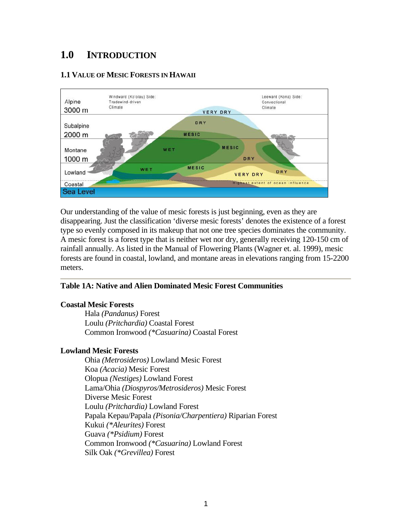# **1.0 INTRODUCTION**

## **1.1 VALUE OF MESIC FORESTS IN HAWAII**



Our understanding of the value of mesic forests is just beginning, even as they are disappearing. Just the classification 'diverse mesic forests' denotes the existence of a forest type so evenly composed in its makeup that not one tree species dominates the community. A mesic forest is a forest type that is neither wet nor dry, generally receiving 120-150 cm of rainfall annually. As listed in the Manual of Flowering Plants (Wagner et. al. 1999), mesic forests are found in coastal, lowland, and montane areas in elevations ranging from 15-2200 meters.

## **Table 1A: Native and Alien Dominated Mesic Forest Communities**

## **Coastal Mesic Forests**

 Hala *(Pandanus)* Forest Loulu *(Pritchardia)* Coastal Forest Common Ironwood *(\*Casuarina)* Coastal Forest

## **Lowland Mesic Forests**

 Ohia *(Metrosideros)* Lowland Mesic Forest Koa *(Acacia)* Mesic Forest Olopua *(Nestiges)* Lowland Forest Lama/Ohia *(Diospyros/Metrosideros)* Mesic Forest Diverse Mesic Forest Loulu *(Pritchardia)* Lowland Forest Papala Kepau/Papala *(Pisonia/Charpentiera)* Riparian Forest Kukui *(\*Aleurites)* Forest Guava *(\*Psidium)* Forest Common Ironwood *(\*Casuarina)* Lowland Forest Silk Oak *(\*Grevillea)* Forest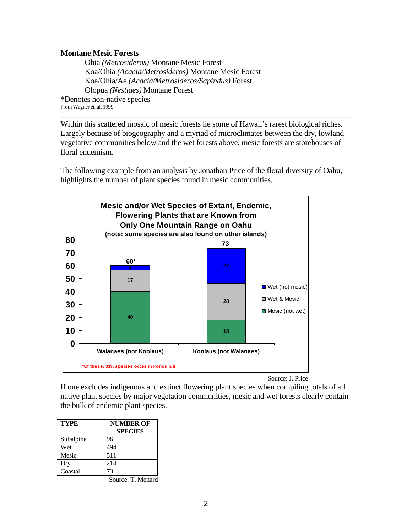#### **Montane Mesic Forests**

 Ohia *(Metrosideros)* Montane Mesic Forest Koa/Ohia *(Acacia/Metrosideros)* Montane Mesic Forest Koa/Ohia/Ae *(Acacia/Metrosideros/Sapindus)* Forest Olopua *(Nestiges)* Montane Forest \*Denotes non-native species

From Wagner et. al. 1999

Within this scattered mosaic of mesic forests lie some of Hawaii's rarest biological riches. Largely because of biogeography and a myriad of microclimates between the dry, lowland vegetative communities below and the wet forests above, mesic forests are storehouses of floral endemism.

The following example from an analysis by Jonathan Price of the floral diversity of Oahu, highlights the number of plant species found in mesic communities.



Source: J. Price

If one excludes indigenous and extinct flowering plant species when compiling totals of all native plant species by major vegetation communities, mesic and wet forests clearly contain the bulk of endemic plant species.

| <b>TYPE</b> | <b>NUMBER OF</b><br><b>SPECIES</b> |
|-------------|------------------------------------|
| Subalpine   | 96                                 |
| Wet         | 494                                |
| Mesic       | 511                                |
| Dry         | 214                                |
| Coastal     | 73                                 |

Source: T. Menard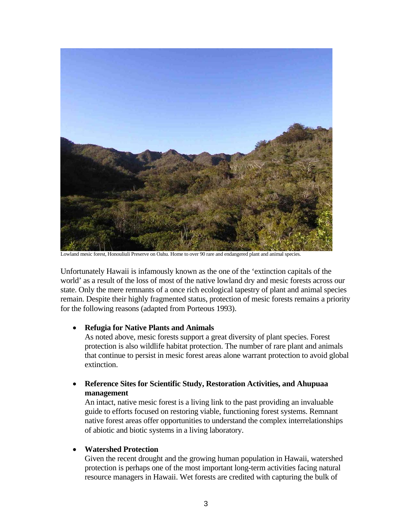

Lowland mesic forest, Honouliuli Preserve on Oahu. Home to over 90 rare and endangered plant and animal species.

Unfortunately Hawaii is infamously known as the one of the 'extinction capitals of the world' as a result of the loss of most of the native lowland dry and mesic forests across our state. Only the mere remnants of a once rich ecological tapestry of plant and animal species remain. Despite their highly fragmented status, protection of mesic forests remains a priority for the following reasons (adapted from Porteous 1993).

#### • **Refugia for Native Plants and Animals**

As noted above, mesic forests support a great diversity of plant species. Forest protection is also wildlife habitat protection. The number of rare plant and animals that continue to persist in mesic forest areas alone warrant protection to avoid global extinction.

## • **Reference Sites for Scientific Study, Restoration Activities, and Ahupuaa management**

An intact, native mesic forest is a living link to the past providing an invaluable guide to efforts focused on restoring viable, functioning forest systems. Remnant native forest areas offer opportunities to understand the complex interrelationships of abiotic and biotic systems in a living laboratory.

## • **Watershed Protection**

Given the recent drought and the growing human population in Hawaii, watershed protection is perhaps one of the most important long-term activities facing natural resource managers in Hawaii. Wet forests are credited with capturing the bulk of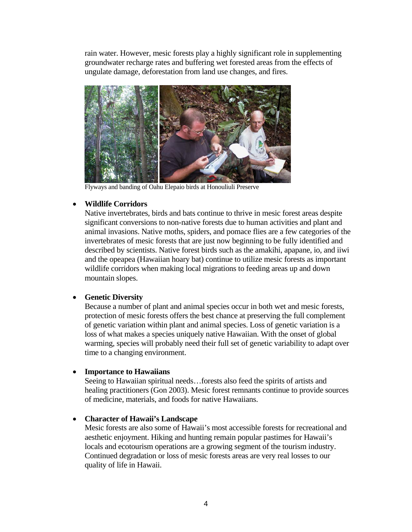rain water. However, mesic forests play a highly significant role in supplementing groundwater recharge rates and buffering wet forested areas from the effects of ungulate damage, deforestation from land use changes, and fires.



Flyways and banding of Oahu Elepaio birds at Honouliuli Preserve

#### • **Wildlife Corridors**

Native invertebrates, birds and bats continue to thrive in mesic forest areas despite significant conversions to non-native forests due to human activities and plant and animal invasions. Native moths, spiders, and pomace flies are a few categories of the invertebrates of mesic forests that are just now beginning to be fully identified and described by scientists. Native forest birds such as the amakihi, apapane, io, and iiwi and the opeapea (Hawaiian hoary bat) continue to utilize mesic forests as important wildlife corridors when making local migrations to feeding areas up and down mountain slopes.

#### • **Genetic Diversity**

Because a number of plant and animal species occur in both wet and mesic forests, protection of mesic forests offers the best chance at preserving the full complement of genetic variation within plant and animal species. Loss of genetic variation is a loss of what makes a species uniquely native Hawaiian. With the onset of global warming, species will probably need their full set of genetic variability to adapt over time to a changing environment.

#### • **Importance to Hawaiians**

Seeing to Hawaiian spiritual needs…forests also feed the spirits of artists and healing practitioners (Gon 2003). Mesic forest remnants continue to provide sources of medicine, materials, and foods for native Hawaiians.

#### • **Character of Hawaii's Landscape**

Mesic forests are also some of Hawaii's most accessible forests for recreational and aesthetic enjoyment. Hiking and hunting remain popular pastimes for Hawaii's locals and ecotourism operations are a growing segment of the tourism industry. Continued degradation or loss of mesic forests areas are very real losses to our quality of life in Hawaii.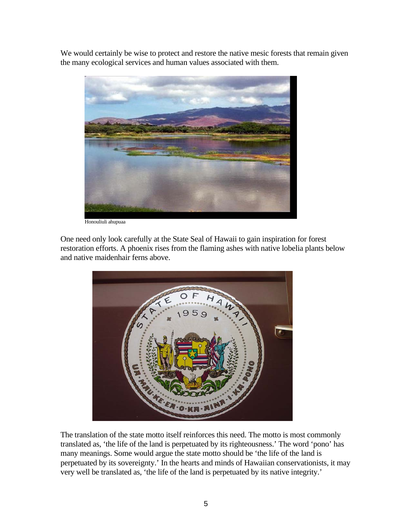We would certainly be wise to protect and restore the native mesic forests that remain given the many ecological services and human values associated with them.



Honouliuli ahupuaa

One need only look carefully at the State Seal of Hawaii to gain inspiration for forest restoration efforts. A phoenix rises from the flaming ashes with native lobelia plants below and native maidenhair ferns above.



The translation of the state motto itself reinforces this need. The motto is most commonly translated as, 'the life of the land is perpetuated by its righteousness.' The word 'pono' has many meanings. Some would argue the state motto should be 'the life of the land is perpetuated by its sovereignty.' In the hearts and minds of Hawaiian conservationists, it may very well be translated as, 'the life of the land is perpetuated by its native integrity.'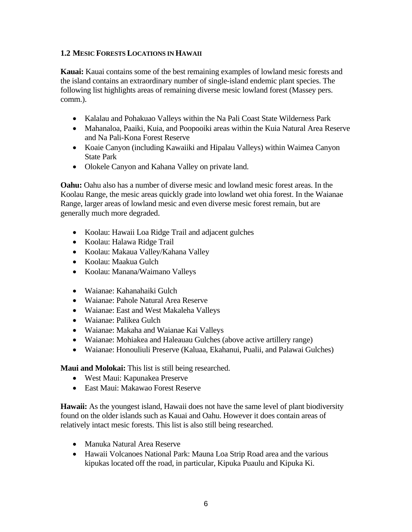# **1.2 MESIC FORESTS LOCATIONS IN HAWAII**

**Kauai:** Kauai contains some of the best remaining examples of lowland mesic forests and the island contains an extraordinary number of single-island endemic plant species. The following list highlights areas of remaining diverse mesic lowland forest (Massey pers. comm.).

- Kalalau and Pohakuao Valleys within the Na Pali Coast State Wilderness Park
- Mahanaloa, Paaiki, Kuia, and Poopooiki areas within the Kuia Natural Area Reserve and Na Pali-Kona Forest Reserve
- Koaie Canyon (including Kawaiiki and Hipalau Valleys) within Waimea Canyon State Park
- Olokele Canyon and Kahana Valley on private land.

**Oahu:** Oahu also has a number of diverse mesic and lowland mesic forest areas. In the Koolau Range, the mesic areas quickly grade into lowland wet ohia forest. In the Waianae Range, larger areas of lowland mesic and even diverse mesic forest remain, but are generally much more degraded.

- Koolau: Hawaii Loa Ridge Trail and adjacent gulches
- Koolau: Halawa Ridge Trail
- Koolau: Makaua Valley/Kahana Valley
- Koolau: Maakua Gulch
- Koolau: Manana/Waimano Valleys
- Waianae: Kahanahaiki Gulch
- Waianae: Pahole Natural Area Reserve
- Waianae: East and West Makaleha Valleys
- Waianae: Palikea Gulch
- Waianae: Makaha and Waianae Kai Valleys
- Waianae: Mohiakea and Haleauau Gulches (above active artillery range)
- Waianae: Honouliuli Preserve (Kaluaa, Ekahanui, Pualii, and Palawai Gulches)

**Maui and Molokai:** This list is still being researched.

- West Maui: Kapunakea Preserve
- East Maui: Makawao Forest Reserve

Hawaii: As the youngest island, Hawaii does not have the same level of plant biodiversity found on the older islands such as Kauai and Oahu. However it does contain areas of relatively intact mesic forests. This list is also still being researched.

- Manuka Natural Area Reserve
- Hawaii Volcanoes National Park: Mauna Loa Strip Road area and the various kipukas located off the road, in particular, Kipuka Puaulu and Kipuka Ki.